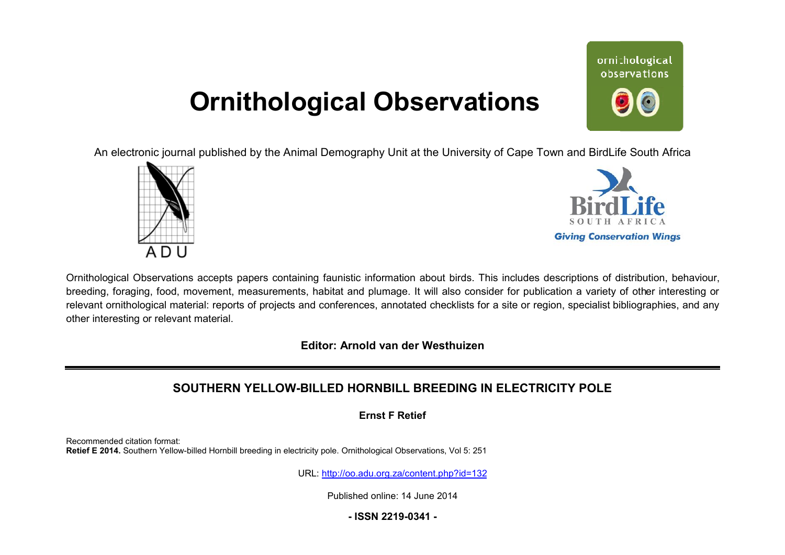# **Ornithological Observations**

ornithological observations

An electronic journal published by the Animal Demography Unit at the University of Cape Town and BirdLife South Africa





Ornithological Observations accepts papers containing faunistic information about birds. This includes descriptions of distribution, behaviour, breeding, foraging, food, movement, measurements, habitat and plumage. It will also consider for publication a variety of other interesting or relevant ornithological material: reports of projects and conferences, annotated checklists for a site or region, specialist bibliographies, and any other interesting or relevant material.

**Editor: Arnold van der Westhuizen**

# **SOUTHERN YELLOW-BILLED HOR BILLED HORNBILL BREEDING IN ELECTRICITY POLE**

**Ernst F Retief** 

Recommended citation format: Retief E 2014. Southern Yellow-billed Hornbill breeding in electricity pole. Ornithological Observations, Vol 5: 251

URL: <http://oo.adu.org.za/content.php?id=132>

Published online: 14 June 2014

**- ISSN 2219-0341 -**